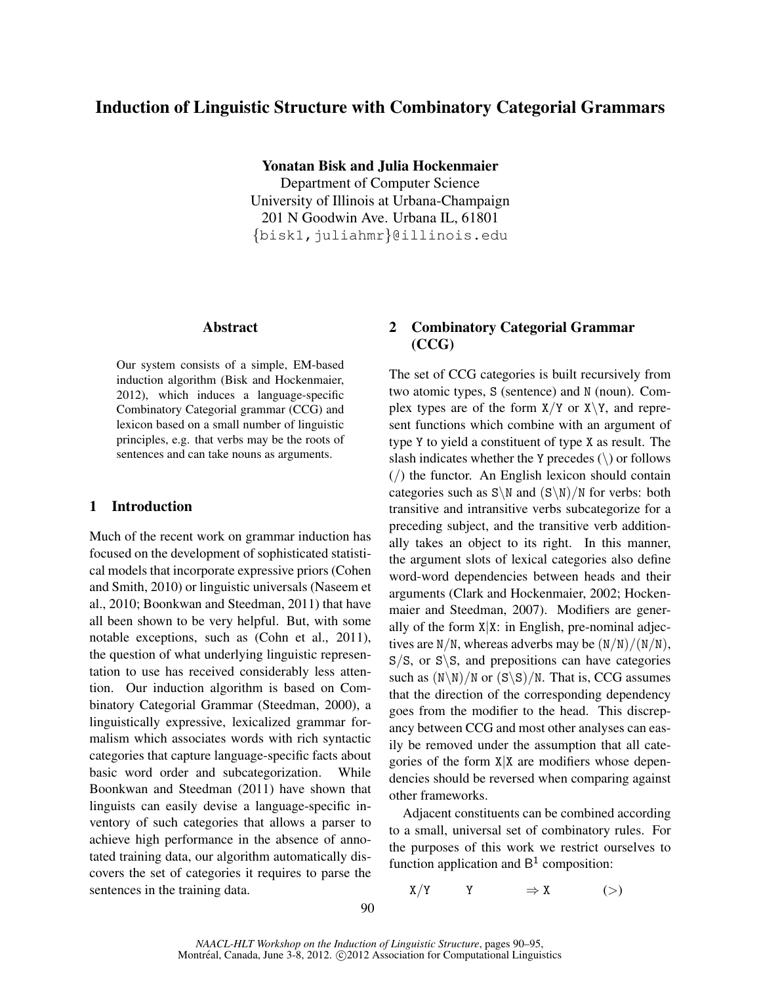# Induction of Linguistic Structure with Combinatory Categorial Grammars

Yonatan Bisk and Julia Hockenmaier

Department of Computer Science University of Illinois at Urbana-Champaign 201 N Goodwin Ave. Urbana IL, 61801 {bisk1,juliahmr}@illinois.edu

## Abstract

Our system consists of a simple, EM-based induction algorithm (Bisk and Hockenmaier, 2012), which induces a language-specific Combinatory Categorial grammar (CCG) and lexicon based on a small number of linguistic principles, e.g. that verbs may be the roots of sentences and can take nouns as arguments.

## 1 Introduction

Much of the recent work on grammar induction has focused on the development of sophisticated statistical models that incorporate expressive priors (Cohen and Smith, 2010) or linguistic universals (Naseem et al., 2010; Boonkwan and Steedman, 2011) that have all been shown to be very helpful. But, with some notable exceptions, such as (Cohn et al., 2011), the question of what underlying linguistic representation to use has received considerably less attention. Our induction algorithm is based on Combinatory Categorial Grammar (Steedman, 2000), a linguistically expressive, lexicalized grammar formalism which associates words with rich syntactic categories that capture language-specific facts about basic word order and subcategorization. While Boonkwan and Steedman (2011) have shown that linguists can easily devise a language-specific inventory of such categories that allows a parser to achieve high performance in the absence of annotated training data, our algorithm automatically discovers the set of categories it requires to parse the sentences in the training data.

# 2 Combinatory Categorial Grammar (CCG)

The set of CCG categories is built recursively from two atomic types, S (sentence) and N (noun). Complex types are of the form  $X/Y$  or  $X\Y$ , and represent functions which combine with an argument of type Y to yield a constituent of type X as result. The slash indicates whether the Y precedes  $(\rangle)$  or follows  $($ ) the functor. An English lexicon should contain categories such as  $S\$  and  $(S\\)$ /N for verbs: both transitive and intransitive verbs subcategorize for a preceding subject, and the transitive verb additionally takes an object to its right. In this manner, the argument slots of lexical categories also define word-word dependencies between heads and their arguments (Clark and Hockenmaier, 2002; Hockenmaier and Steedman, 2007). Modifiers are generally of the form  $X|X$ : in English, pre-nominal adjectives are  $N/N$ , whereas adverbs may be  $(N/N)/(N/N)$ ,  $S/S$ , or  $S\$ S, and prepositions can have categories such as  $(N\ N)/N$  or  $(S\ S)/N$ . That is, CCG assumes that the direction of the corresponding dependency goes from the modifier to the head. This discrepancy between CCG and most other analyses can easily be removed under the assumption that all categories of the form  $X|X$  are modifiers whose dependencies should be reversed when comparing against other frameworks.

Adjacent constituents can be combined according to a small, universal set of combinatory rules. For the purposes of this work we restrict ourselves to function application and  $B<sup>1</sup>$  composition:

$$
X/Y \qquad Y \qquad \Rightarrow X \qquad \qquad (>)
$$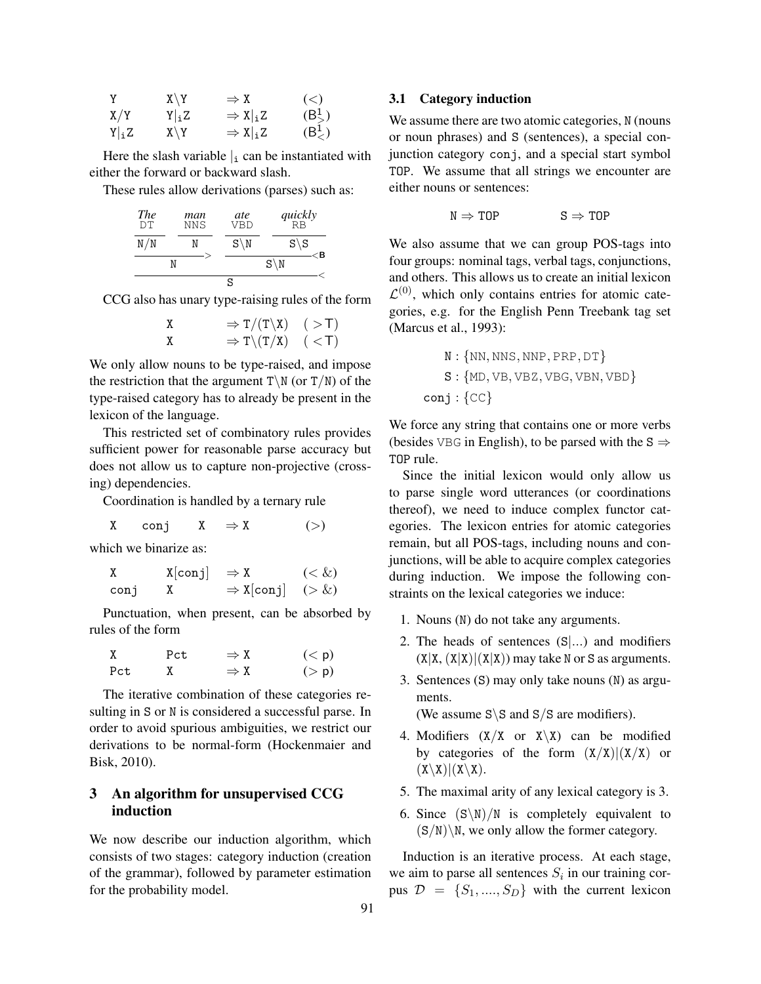| Y       | $X \setminus Y$ | $\Rightarrow X$                 | $\left( \leq \right)$ |
|---------|-----------------|---------------------------------|-----------------------|
| X/Y     | $Y _iZ$         | $\Rightarrow$ X  <sub>i</sub> Z | $(B_>^1)$             |
| $Y _iZ$ | $X \setminus Y$ | $\Rightarrow$ X  <sub>i</sub> Z | $(B^1_<)$             |

Here the slash variable  $\vert_i$  can be instantiated with either the forward or backward slash.

These rules allow derivations (parses) such as:

| <b>The</b><br>DΤ | man<br>NNS | ate<br>VBD       | $quickly$ <sub>RB</sub> |
|------------------|------------|------------------|-------------------------|
| N/N              |            | $S \backslash N$ | $S\backslash S$<br>ΈB   |
|                  |            |                  | $S \backslash N$        |
|                  |            | S                |                         |

CCG also has unary type-raising rules of the form

$$
\begin{array}{ccc}\nX & \Rightarrow T/(T \backslash X) & (\gt; T) \\
X & \Rightarrow T \backslash (T/X) & (\lt; T)\n\end{array}
$$

We only allow nouns to be type-raised, and impose the restriction that the argument  $T\$  N (or  $T/N$ ) of the type-raised category has to already be present in the lexicon of the language.

This restricted set of combinatory rules provides sufficient power for reasonable parse accuracy but does not allow us to capture non-projective (crossing) dependencies.

Coordination is handled by a ternary rule

X conj  $X \Rightarrow X$  (>)

which we binarize as:

| Χ    | $X[conj] \Rightarrow X$ |                             | $(\&)$ |
|------|-------------------------|-----------------------------|--------|
| conj |                         | $\Rightarrow$ X[conj] (> &) |        |

Punctuation, when present, can be absorbed by rules of the form

| Χ   | Pct | $\Rightarrow X$ | (< p)      |
|-----|-----|-----------------|------------|
| Pct |     | $\Rightarrow X$ | $($ > $p)$ |

The iterative combination of these categories resulting in S or N is considered a successful parse. In order to avoid spurious ambiguities, we restrict our derivations to be normal-form (Hockenmaier and Bisk, 2010).

## 3 An algorithm for unsupervised CCG induction

We now describe our induction algorithm, which consists of two stages: category induction (creation of the grammar), followed by parameter estimation for the probability model.

### 3.1 Category induction

We assume there are two atomic categories, N (nouns or noun phrases) and S (sentences), a special conjunction category conj, and a special start symbol TOP. We assume that all strings we encounter are either nouns or sentences:

$$
N \Rightarrow TOP \qquad S \Rightarrow TOP
$$

We also assume that we can group POS-tags into four groups: nominal tags, verbal tags, conjunctions, and others. This allows us to create an initial lexicon  $\mathcal{L}^{(0)}$ , which only contains entries for atomic categories, e.g. for the English Penn Treebank tag set (Marcus et al., 1993):

N : {NN, NNS, NNP, PRP, DT} S : {MD, VB, VBZ, VBG, VBN, VBD} conj : {CC}

We force any string that contains one or more verbs (besides VBG in English), to be parsed with the  $S \Rightarrow$ TOP rule.

Since the initial lexicon would only allow us to parse single word utterances (or coordinations thereof), we need to induce complex functor categories. The lexicon entries for atomic categories remain, but all POS-tags, including nouns and conjunctions, will be able to acquire complex categories during induction. We impose the following constraints on the lexical categories we induce:

- 1. Nouns (N) do not take any arguments.
- 2. The heads of sentences (S|...) and modifiers  $(X|X, (X|X)|(X|X))$  may take N or S as arguments.
- 3. Sentences (S) may only take nouns (N) as arguments.

(We assume  $S \ S$  and  $S/S$  are modifiers).

- 4. Modifiers  $(X/X)$  or  $X\ X)$  can be modified by categories of the form  $(X/X)|(X/X)$  or  $(X\backslash X)|(X\backslash X).$
- 5. The maximal arity of any lexical category is 3.
- 6. Since  $(S\backslash N)/N$  is completely equivalent to  $(S/N)\$ , we only allow the former category.

Induction is an iterative process. At each stage, we aim to parse all sentences  $S_i$  in our training corpus  $\mathcal{D} = \{S_1, ..., S_D\}$  with the current lexicon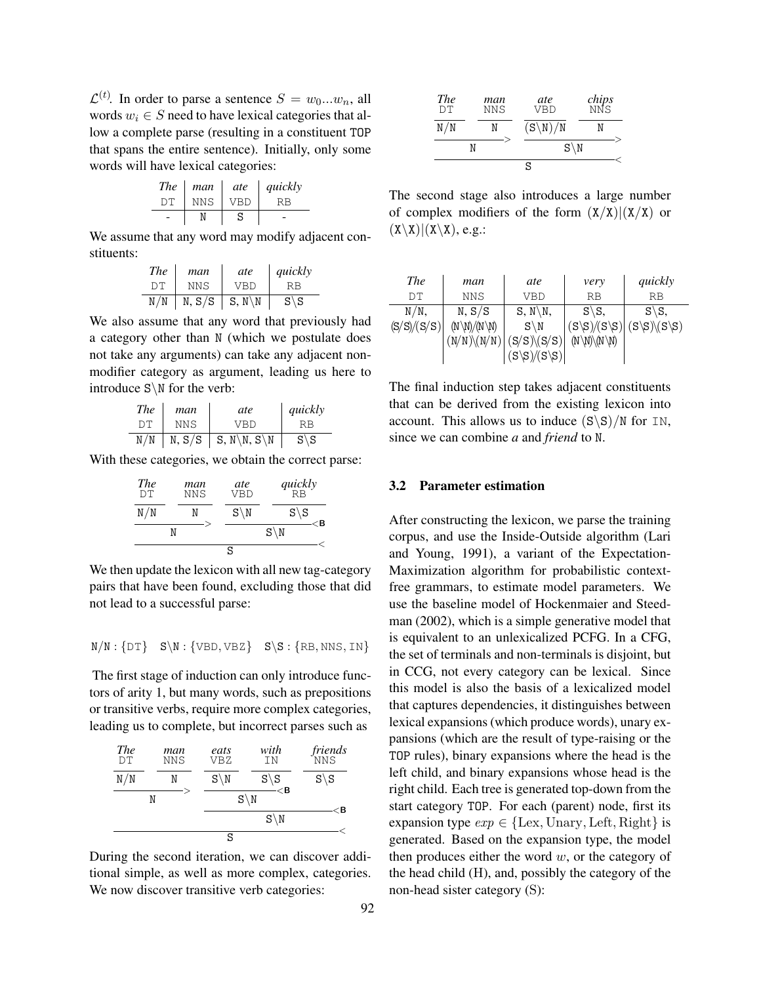$\mathcal{L}^{(t)}$ . In order to parse a sentence  $S = w_0...w_n$ , all words  $w_i \in S$  need to have lexical categories that allow a complete parse (resulting in a constituent TOP that spans the entire sentence). Initially, only some words will have lexical categories:

| <b>The</b> | man  | ate | quickly |
|------------|------|-----|---------|
| DТ         | NN S | VBD |         |
|            |      | S   |         |

We assume that any word may modify adjacent constituents:

| <b>The</b> | man        | ate                 | quickly         |
|------------|------------|---------------------|-----------------|
| DТ         | <b>NNS</b> | <b>VBD</b>          | RB              |
| N/N        | N, S/S     | $S, N \backslash N$ | $S\backslash S$ |

We also assume that any word that previously had a category other than N (which we postulate does not take any arguments) can take any adjacent nonmodifier category as argument, leading us here to introduce S\N for the verb:

| The | man  | ate                      | quickly         |
|-----|------|--------------------------|-----------------|
| DТ  | NNS. | VRD                      | RR              |
| N/N |      | N, $S/S$   S, N \N, S \N | $S\backslash S$ |

With these categories, we obtain the correct parse:

| <b>The</b><br>DΤ | man<br><b>NNS</b> | ate<br>VBD       | $quickly$ <sub>RB</sub> |
|------------------|-------------------|------------------|-------------------------|
| N/N              |                   | $S \backslash N$ | $S\backslash S$<br>ΈB   |
|                  |                   |                  | $S \backslash N$        |
|                  |                   | S                |                         |

We then update the lexicon with all new tag-category pairs that have been found, excluding those that did not lead to a successful parse:

$$
N/N:\{DT\} \quad S\backslash N:\{VBD,VBZ\} \quad S\backslash S:\{RB, NNS, IN\}
$$

The first stage of induction can only introduce functors of arity 1, but many words, such as prepositions or transitive verbs, require more complex categories, leading us to complete, but incorrect parses such as

| <b>The</b><br>DΤ | man<br><b>NNS</b> | eats<br>VBZ      | with<br>ΙN                                | <i>friends</i><br>NNS |
|------------------|-------------------|------------------|-------------------------------------------|-----------------------|
| N/N              |                   | $S \backslash N$ | $S\backslash S$<br>$\mathbb{C}\mathsf{B}$ | $S\backslash S$       |
|                  | N                 |                  | $S \backslash N$                          | <b< td=""></b<>       |
|                  |                   |                  | $S \backslash N$                          |                       |
|                  |                   | S                |                                           |                       |

During the second iteration, we can discover additional simple, as well as more complex, categories. We now discover transitive verb categories:

| <b>The</b><br>DT | man<br><b>NNS</b> | ate<br><b>VBD</b>   | <i>chips</i><br>NNS |
|------------------|-------------------|---------------------|---------------------|
| N/N              | N                 | $(S\backslash N)/N$ |                     |
|                  | N                 | $S \backslash N$    |                     |
|                  |                   | S                   |                     |

The second stage also introduces a large number of complex modifiers of the form  $(X/X)|(X/X)$  or  $(X\X)|(X\X), e.g.:$ 

| <b>The</b>  | man                                 | ate                  | very                                           | quickly                                     |
|-------------|-------------------------------------|----------------------|------------------------------------------------|---------------------------------------------|
| DТ          | <b>NNS</b>                          | VBD                  | RB                                             | RB                                          |
| $N/N$ ,     | N, S/S                              | $S, N \backslash N,$ | $S\$ S                                         | $S\$ S                                      |
| (S/S)/(S/S) | $(N \backslash N)/(N \backslash N)$ | $S \backslash N$     | $(S\backslash S)/(S\backslash S)$              | $(S\backslash S)\backslash (S\backslash S)$ |
|             | $(N/N)\N(N/N)$                      | $(S/S)\$ (S/S)       | $(N \backslash N) \backslash (N \backslash N)$ |                                             |
|             |                                     | $(S\S)/S\S)$         |                                                |                                             |

The final induction step takes adjacent constituents that can be derived from the existing lexicon into account. This allows us to induce  $(S\ S)/N$  for IN, since we can combine *a* and *friend* to N.

#### 3.2 Parameter estimation

After constructing the lexicon, we parse the training corpus, and use the Inside-Outside algorithm (Lari and Young, 1991), a variant of the Expectation-Maximization algorithm for probabilistic contextfree grammars, to estimate model parameters. We use the baseline model of Hockenmaier and Steedman (2002), which is a simple generative model that is equivalent to an unlexicalized PCFG. In a CFG, the set of terminals and non-terminals is disjoint, but in CCG, not every category can be lexical. Since this model is also the basis of a lexicalized model that captures dependencies, it distinguishes between lexical expansions (which produce words), unary expansions (which are the result of type-raising or the TOP rules), binary expansions where the head is the left child, and binary expansions whose head is the right child. Each tree is generated top-down from the start category TOP. For each (parent) node, first its expansion type  $exp \in \{Lex, Unary, Left, Right\}$  is generated. Based on the expansion type, the model then produces either the word  $w$ , or the category of the head child (H), and, possibly the category of the non-head sister category (S):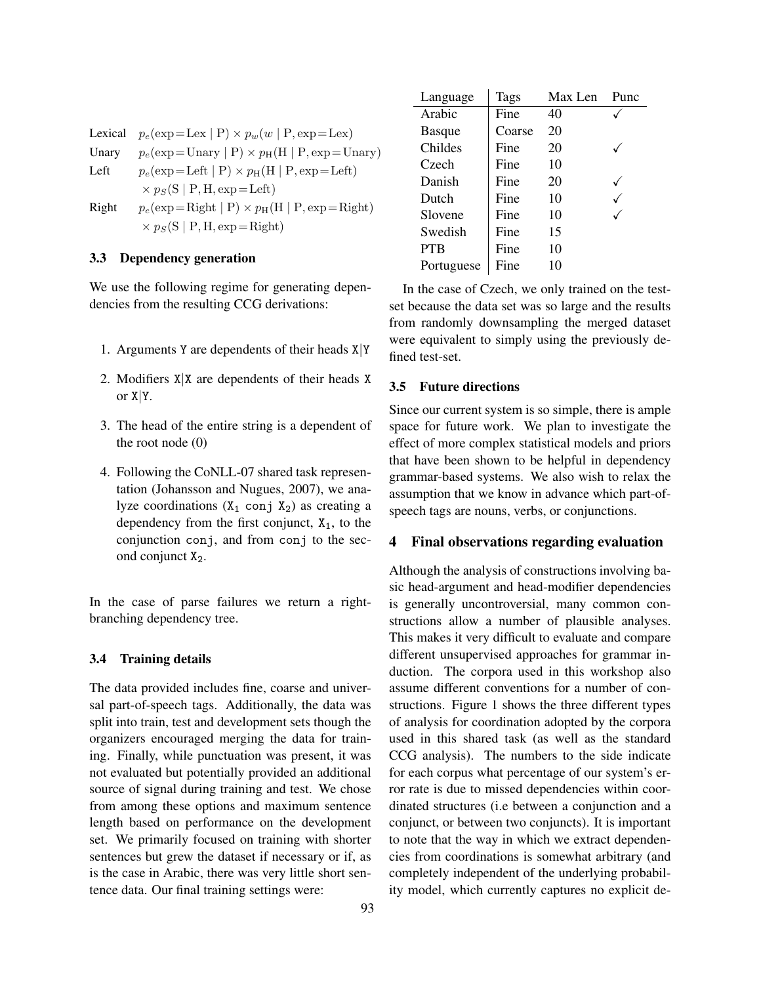|       | Lexical $p_e(\exp=\text{Lex}   P) \times p_w(w   P, \exp=\text{Lex})$ |
|-------|-----------------------------------------------------------------------|
| Unary | $p_e(\exp{=}$ Unary $  P \rangle \times p_H(H   P, exp{=}$ Unary)     |
| Left  | $p_e(\exp=\text{Left}   P) \times p_H(H   P, \exp=\text{Left})$       |
|       | $\times p_S(S   P, H, exp = Left)$                                    |
| Right | $p_e(\exp{=}$ Right $  P \rangle \times p_H(H   P, exp{=}$ Right)     |
|       | $\times p_S(S   P, H, exp=Right)$                                     |

#### 3.3 Dependency generation

We use the following regime for generating dependencies from the resulting CCG derivations:

- 1. Arguments Y are dependents of their heads  $X|Y$
- 2. Modifiers X|X are dependents of their heads X or  $X|Y$ .
- 3. The head of the entire string is a dependent of the root node (0)
- 4. Following the CoNLL-07 shared task representation (Johansson and Nugues, 2007), we analyze coordinations  $(X_1 \text{ conj } X_2)$  as creating a dependency from the first conjunct,  $X_1$ , to the conjunction conj, and from conj to the second conjunct  $X_2$ .

In the case of parse failures we return a rightbranching dependency tree.

#### 3.4 Training details

The data provided includes fine, coarse and universal part-of-speech tags. Additionally, the data was split into train, test and development sets though the organizers encouraged merging the data for training. Finally, while punctuation was present, it was not evaluated but potentially provided an additional source of signal during training and test. We chose from among these options and maximum sentence length based on performance on the development set. We primarily focused on training with shorter sentences but grew the dataset if necessary or if, as is the case in Arabic, there was very little short sentence data. Our final training settings were:

| Language      | Tags   | Max Len | Punc |
|---------------|--------|---------|------|
| Arabic        | Fine   | 40      |      |
| <b>Basque</b> | Coarse | 20      |      |
| Childes       | Fine   | 20      |      |
| Czech         | Fine   | 10      |      |
| Danish        | Fine   | 20      |      |
| Dutch         | Fine   | 10      |      |
| Slovene       | Fine   | 10      |      |
| Swedish       | Fine   | 15      |      |
| <b>PTB</b>    | Fine   | 10      |      |
| Portuguese    | Fine   | 10      |      |

In the case of Czech, we only trained on the testset because the data set was so large and the results from randomly downsampling the merged dataset were equivalent to simply using the previously defined test-set.

#### 3.5 Future directions

Since our current system is so simple, there is ample space for future work. We plan to investigate the effect of more complex statistical models and priors that have been shown to be helpful in dependency grammar-based systems. We also wish to relax the assumption that we know in advance which part-ofspeech tags are nouns, verbs, or conjunctions.

### 4 Final observations regarding evaluation

Although the analysis of constructions involving basic head-argument and head-modifier dependencies is generally uncontroversial, many common constructions allow a number of plausible analyses. This makes it very difficult to evaluate and compare different unsupervised approaches for grammar induction. The corpora used in this workshop also assume different conventions for a number of constructions. Figure 1 shows the three different types of analysis for coordination adopted by the corpora used in this shared task (as well as the standard CCG analysis). The numbers to the side indicate for each corpus what percentage of our system's error rate is due to missed dependencies within coordinated structures (i.e between a conjunction and a conjunct, or between two conjuncts). It is important to note that the way in which we extract dependencies from coordinations is somewhat arbitrary (and completely independent of the underlying probability model, which currently captures no explicit de-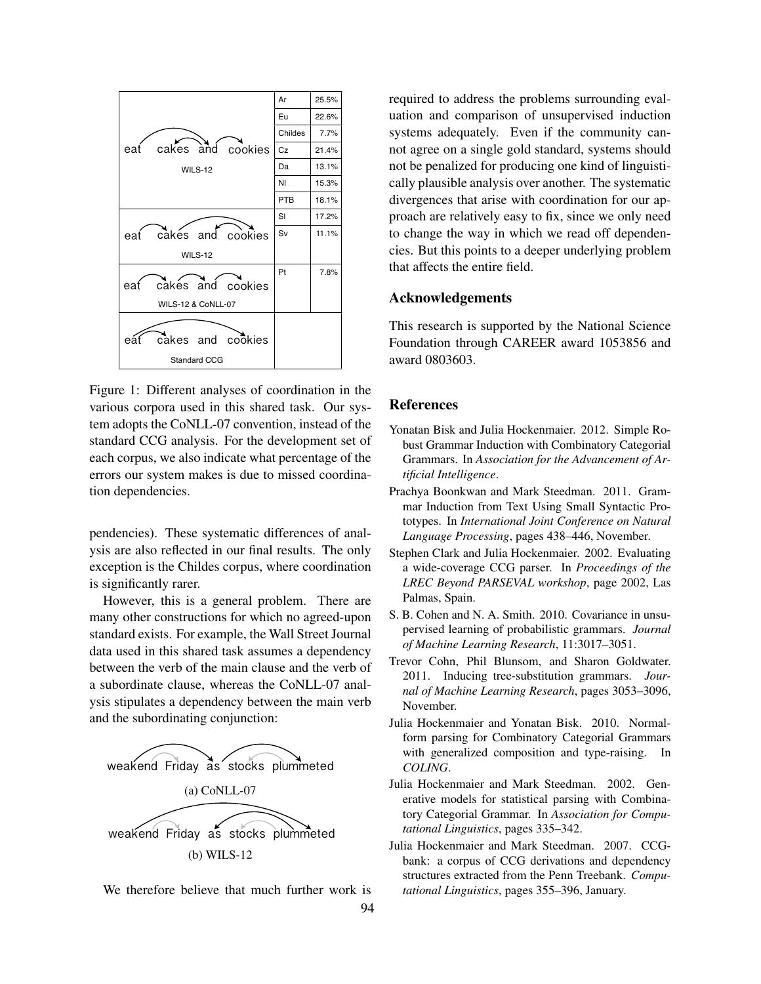

Figure 1: Different analyses of coordination in the various corpora used in this shared task. Our system adopts the CoNLL-07 convention, instead of the standard CCG analysis. For the development set of each corpus, we also indicate what percentage of the errors our system makes is due to missed coordination dependencies.

pendencies). These systematic differences of analysis are also reflected in our final results. The only exception is the Childes corpus, where coordination is significantly rarer.

However, this is a general problem. There are many other constructions for which no agreed-upon standard exists. For example, the Wall Street Journal data used in this shared task assumes a dependency between the verb of the main clause and the verb of a subordinate clause, whereas the CoNLL-07 analysis stipulates a dependency between the main verb and the subordinating conjunction:



We therefore believe that much further work is 94 required to address the problems surrounding evaluation and comparison of unsupervised induction systems adequately. Even if the community cannot agree on a single gold standard, systems should not be penalized for producing one kind of linguistically plausible analysis over another. The systematic divergences that arise with coordination for our approach are relatively easy to fix, since we only need to change the way in which we read off dependencies. But this points to a deeper underlying problem that affects the entire field.

#### Acknowledgements

This research is supported by the National Science Foundation through CAREER award 1053856 and award 0803603.

### **References**

- Yonatan Bisk and Julia Hockenmaier. 2012. Simple Robust Grammar Induction with Combinatory Categorial Grammars. In *Association for the Advancement of Artificial Intelligence*.
- Prachya Boonkwan and Mark Steedman. 2011. Grammar Induction from Text Using Small Syntactic Prototypes. In *International Joint Conference on Natural Language Processing*, pages 438–446, November.
- Stephen Clark and Julia Hockenmaier. 2002. Evaluating a wide-coverage CCG parser. In *Proceedings of the LREC Beyond PARSEVAL workshop*, page 2002, Las Palmas, Spain.
- S. B. Cohen and N. A. Smith. 2010. Covariance in unsupervised learning of probabilistic grammars. *Journal of Machine Learning Research*, 11:3017–3051.
- Trevor Cohn, Phil Blunsom, and Sharon Goldwater. 2011. Inducing tree-substitution grammars. *Journal of Machine Learning Research*, pages 3053–3096, November.
- Julia Hockenmaier and Yonatan Bisk. 2010. Normalform parsing for Combinatory Categorial Grammars with generalized composition and type-raising. In *COLING*.
- Julia Hockenmaier and Mark Steedman. 2002. Generative models for statistical parsing with Combinatory Categorial Grammar. In *Association for Computational Linguistics*, pages 335–342.
- Julia Hockenmaier and Mark Steedman. 2007. CCGbank: a corpus of CCG derivations and dependency structures extracted from the Penn Treebank. *Computational Linguistics*, pages 355–396, January.